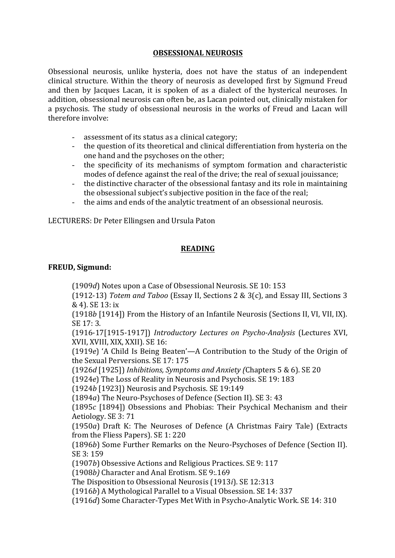## **OBSESSIONAL NEUROSIS**

Obsessional neurosis, unlike hysteria, does not have the status of an independent clinical structure. Within the theory of neurosis as developed first by Sigmund Freud and then by Jacques Lacan, it is spoken of as a dialect of the hysterical neuroses. In addition, obsessional neurosis can often be, as Lacan pointed out, clinically mistaken for a psychosis. The study of obsessional neurosis in the works of Freud and Lacan will therefore involve:

- assessment of its status as a clinical category;
- the question of its theoretical and clinical differentiation from hysteria on the one hand and the psychoses on the other;
- the specificity of its mechanisms of symptom formation and characteristic modes of defence against the real of the drive; the real of sexual jouissance;
- the distinctive character of the obsessional fantasy and its role in maintaining the obsessional subject's subjective position in the face of the real;
- the aims and ends of the analytic treatment of an obsessional neurosis.

LECTURERS: Dr Peter Ellingsen and Ursula Paton

## **READING**

#### **FREUD, Sigmund:**

(1909*d*) Notes upon a Case of Obsessional Neurosis. SE 10: 153

(1912-13) *Totem and Taboo* (Essay II, Sections 2 & 3(c), and Essay III, Sections 3 & 4). SE 13: ix

(1918*b* [1914]) From the History of an Infantile Neurosis (Sections II, VI, VII, IX). SE 17: 3.

(1916-17[1915-1917]) *Introductory Lectures on Psycho-Analysis* (Lectures XVI, XVII, XVIII, XIX, XXII). SE 16:

(1919*e*) 'A Child Is Being Beaten'—A Contribution to the Study of the Origin of the Sexual Perversions. SE 17: 175

(1926*d* [1925]) *Inhibitions, Symptoms and Anxiety (*Chapters 5 & 6). SE 20

(1924e) The Loss of Reality in Neurosis and Psychosis. SE 19: 183

(1924*b* [1923]) Neurosis and Psychosis. SE 19:149

(1894*a*) The Neuro-Psychoses of Defence (Section II). SE 3: 43

(1895 $c$  [1894]) Obsessions and Phobias: Their Psychical Mechanism and their Aetiology. SE 3: 71

(1950*a*) Draft K: The Neuroses of Defence (A Christmas Fairy Tale) (Extracts from the Fliess Papers). SE 1: 220

(1896*b*) Some Further Remarks on the Neuro-Psychoses of Defence (Section II). SE 3: 159

(1907*b*) Obsessive Actions and Religious Practices. SE 9: 117

(1908*b*) Character and Anal Erotism. SE 9: 169

The Disposition to Obsessional Neurosis (1913*i*). SE 12:313

(1916*b*) A Mythological Parallel to a Visual Obsession. SE 14: 337

(1916*d*) Some Character-Types Met With in Psycho-Analytic Work. SE 14: 310